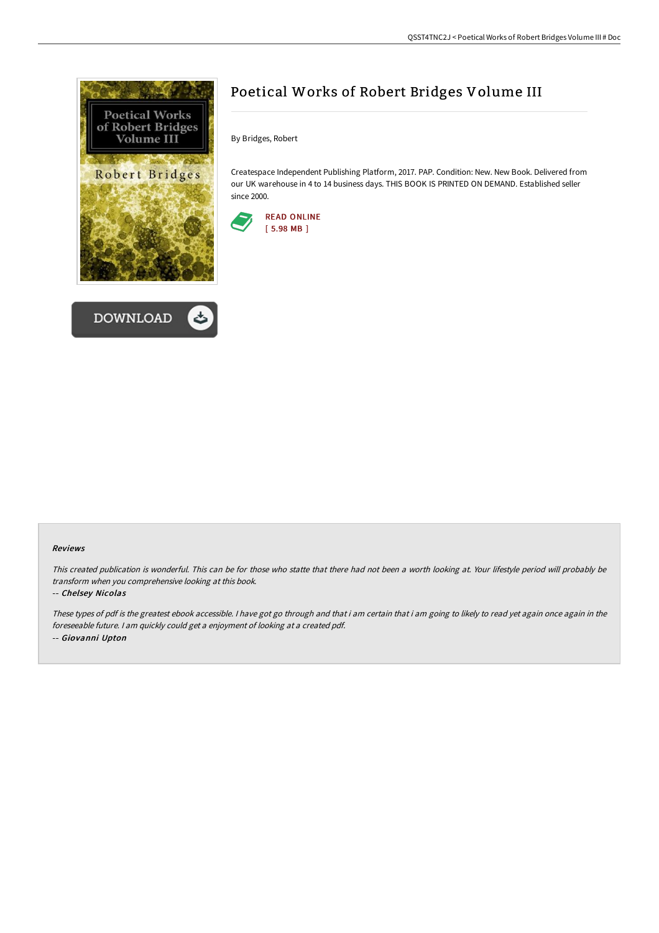



## Poetical Works of Robert Bridges Volume III

By Bridges, Robert

Createspace Independent Publishing Platform, 2017. PAP. Condition: New. New Book. Delivered from our UK warehouse in 4 to 14 business days. THIS BOOK IS PRINTED ON DEMAND. Established seller since 2000.



## Reviews

This created publication is wonderful. This can be for those who statte that there had not been <sup>a</sup> worth looking at. Your lifestyle period will probably be transform when you comprehensive looking at this book.

## -- Chelsey Nicolas

These types of pdf is the greatest ebook accessible. <sup>I</sup> have got go through and that i am certain that i am going to likely to read yet again once again in the foreseeable future. <sup>I</sup> am quickly could get <sup>a</sup> enjoyment of looking at <sup>a</sup> created pdf. -- Giovanni Upton